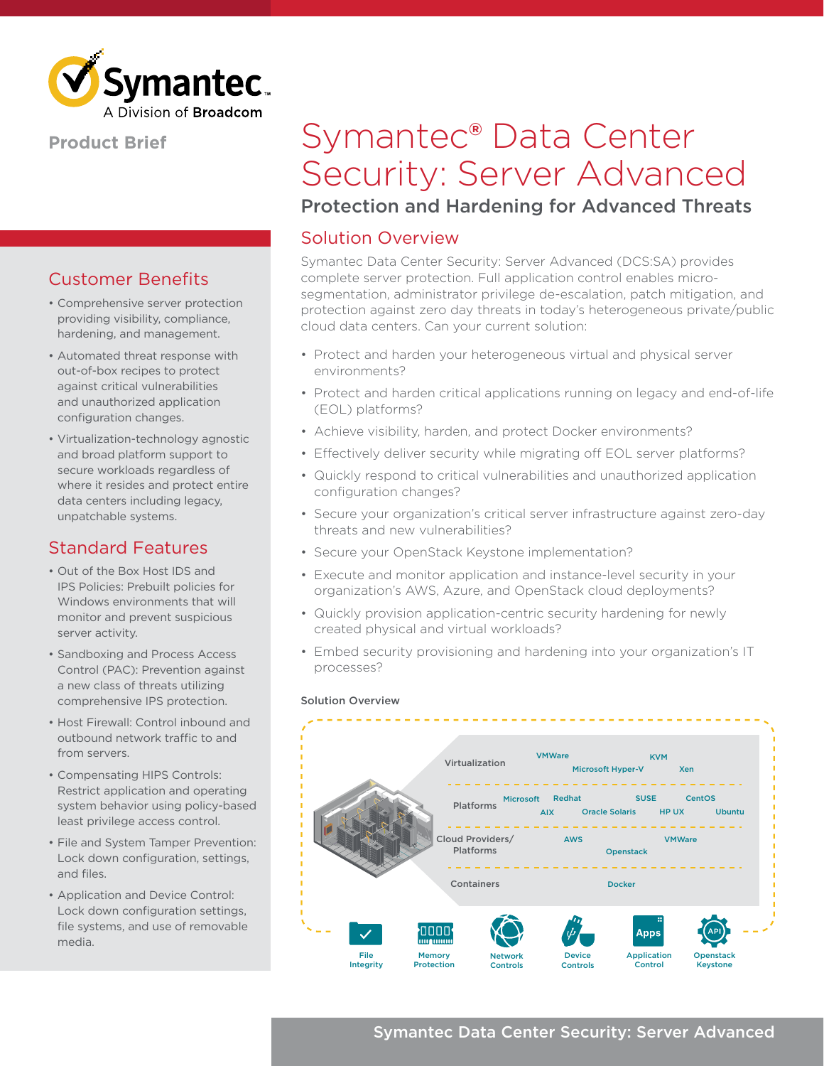

### **Product Brief**

## Customer Benefits

- Comprehensive server protection providing visibility, compliance, hardening, and management.
- Automated threat response with out-of-box recipes to protect against critical vulnerabilities and unauthorized application configuration changes.
- Virtualization-technology agnostic and broad platform support to secure workloads regardless of where it resides and protect entire data centers including legacy, unpatchable systems.

## Standard Features

- Out of the Box Host IDS and IPS Policies: Prebuilt policies for Windows environments that will monitor and prevent suspicious server activity.
- Sandboxing and Process Access Control (PAC): Prevention against a new class of threats utilizing comprehensive IPS protection.
- Host Firewall: Control inbound and outbound network traffic to and from servers.
- Compensating HIPS Controls: Restrict application and operating system behavior using policy-based least privilege access control.
- File and System Tamper Prevention: Lock down configuration, settings, and files.
- Application and Device Control: Lock down configuration settings, file systems, and use of removable media.

# Symantec® Data Center Security: Server Advanced

## Protection and Hardening for Advanced Threats

## Solution Overview

Symantec Data Center Security: Server Advanced (DCS:SA) provides complete server protection. Full application control enables microsegmentation, administrator privilege de-escalation, patch mitigation, and protection against zero day threats in today's heterogeneous private/public cloud data centers. Can your current solution:

- Protect and harden your heterogeneous virtual and physical server environments?
- Protect and harden critical applications running on legacy and end-of-life (EOL) platforms?
- Achieve visibility, harden, and protect Docker environments?
- Effectively deliver security while migrating off EOL server platforms?
- Quickly respond to critical vulnerabilities and unauthorized application configuration changes?
- Secure your organization's critical server infrastructure against zero-day threats and new vulnerabilities?
- Secure your OpenStack Keystone implementation?
- Execute and monitor application and instance-level security in your organization's AWS, Azure, and OpenStack cloud deployments?
- Quickly provision application-centric security hardening for newly created physical and virtual workloads?
- Embed security provisioning and hardening into your organization's IT processes?



#### Solution Overview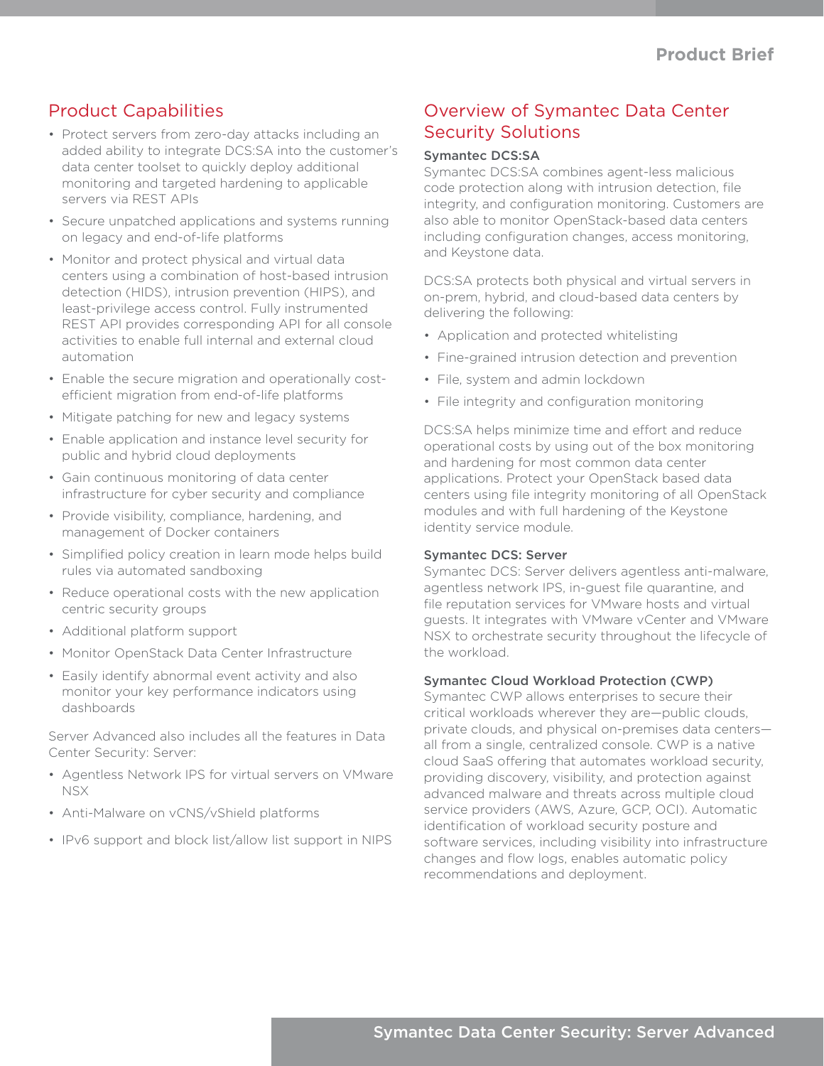## Product Capabilities

- Protect servers from zero-day attacks including an added ability to integrate DCS:SA into the customer's data center toolset to quickly deploy additional monitoring and targeted hardening to applicable servers via REST APIs
- Secure unpatched applications and systems running on legacy and end-of-life platforms
- Monitor and protect physical and virtual data centers using a combination of host-based intrusion detection (HIDS), intrusion prevention (HIPS), and least-privilege access control. Fully instrumented REST API provides corresponding API for all console activities to enable full internal and external cloud automation
- Enable the secure migration and operationally costefficient migration from end-of-life platforms
- Mitigate patching for new and legacy systems
- Enable application and instance level security for public and hybrid cloud deployments
- Gain continuous monitoring of data center infrastructure for cyber security and compliance
- Provide visibility, compliance, hardening, and management of Docker containers
- Simplified policy creation in learn mode helps build rules via automated sandboxing
- Reduce operational costs with the new application centric security groups
- Additional platform support
- Monitor OpenStack Data Center Infrastructure
- Easily identify abnormal event activity and also monitor your key performance indicators using dashboards

Server Advanced also includes all the features in Data Center Security: Server:

- Agentless Network IPS for virtual servers on VMware NSX
- Anti-Malware on vCNS/vShield platforms
- IPv6 support and block list/allow list support in NIPS

## Overview of Symantec Data Center Security Solutions

#### Symantec DCS:SA

Symantec DCS:SA combines agent-less malicious code protection along with intrusion detection, file integrity, and configuration monitoring. Customers are also able to monitor OpenStack-based data centers including configuration changes, access monitoring, and Keystone data.

DCS:SA protects both physical and virtual servers in on-prem, hybrid, and cloud-based data centers by delivering the following:

- Application and protected whitelisting
- Fine-grained intrusion detection and prevention
- File, system and admin lockdown
- File integrity and configuration monitoring

DCS:SA helps minimize time and effort and reduce operational costs by using out of the box monitoring and hardening for most common data center applications. Protect your OpenStack based data centers using file integrity monitoring of all OpenStack modules and with full hardening of the Keystone identity service module.

#### Symantec DCS: Server

Symantec DCS: Server delivers agentless anti-malware, agentless network IPS, in-guest file quarantine, and file reputation services for VMware hosts and virtual guests. It integrates with VMware vCenter and VMware NSX to orchestrate security throughout the lifecycle of the workload.

#### Symantec Cloud Workload Protection (CWP)

Symantec CWP allows enterprises to secure their critical workloads wherever they are—public clouds, private clouds, and physical on-premises data centers all from a single, centralized console. CWP is a native cloud SaaS offering that automates workload security, providing discovery, visibility, and protection against advanced malware and threats across multiple cloud service providers (AWS, Azure, GCP, OCI). Automatic identification of workload security posture and software services, including visibility into infrastructure changes and flow logs, enables automatic policy recommendations and deployment.